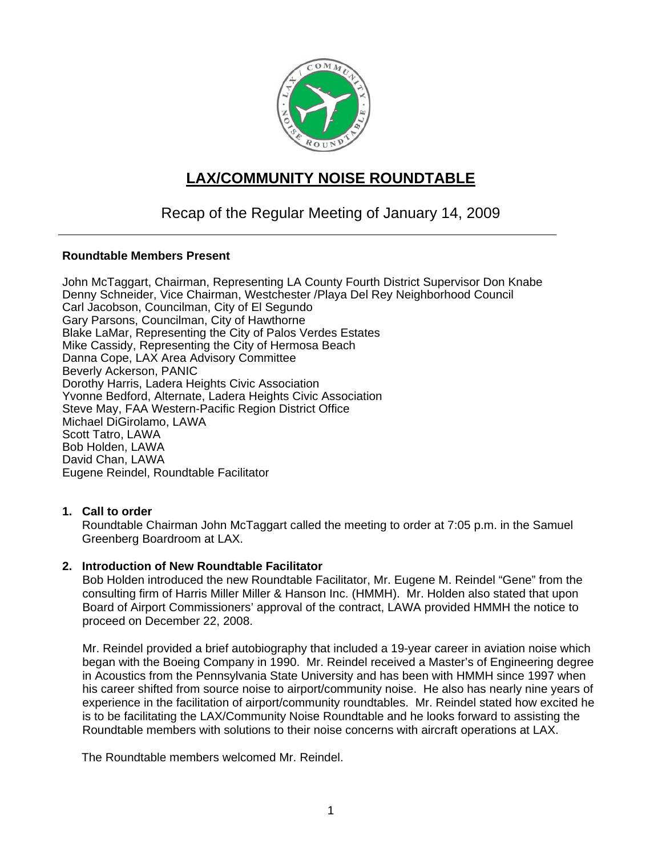

# **LAX/COMMUNITY NOISE ROUNDTABLE**

## Recap of the Regular Meeting of January 14, 2009

#### **Roundtable Members Present**

John McTaggart, Chairman, Representing LA County Fourth District Supervisor Don Knabe Denny Schneider, Vice Chairman, Westchester /Playa Del Rey Neighborhood Council Carl Jacobson, Councilman, City of El Segundo Gary Parsons, Councilman, City of Hawthorne Blake LaMar, Representing the City of Palos Verdes Estates Mike Cassidy, Representing the City of Hermosa Beach Danna Cope, LAX Area Advisory Committee Beverly Ackerson, PANIC Dorothy Harris, Ladera Heights Civic Association Yvonne Bedford, Alternate, Ladera Heights Civic Association Steve May, FAA Western-Pacific Region District Office Michael DiGirolamo, LAWA Scott Tatro, LAWA Bob Holden, LAWA David Chan, LAWA Eugene Reindel, Roundtable Facilitator

## **1. Call to order**

 Roundtable Chairman John McTaggart called the meeting to order at 7:05 p.m. in the Samuel Greenberg Boardroom at LAX.

#### **2. Introduction of New Roundtable Facilitator**

Bob Holden introduced the new Roundtable Facilitator, Mr. Eugene M. Reindel "Gene" from the consulting firm of Harris Miller Miller & Hanson Inc. (HMMH). Mr. Holden also stated that upon Board of Airport Commissioners' approval of the contract, LAWA provided HMMH the notice to proceed on December 22, 2008.

Mr. Reindel provided a brief autobiography that included a 19-year career in aviation noise which began with the Boeing Company in 1990. Mr. Reindel received a Master's of Engineering degree in Acoustics from the Pennsylvania State University and has been with HMMH since 1997 when his career shifted from source noise to airport/community noise. He also has nearly nine years of experience in the facilitation of airport/community roundtables. Mr. Reindel stated how excited he is to be facilitating the LAX/Community Noise Roundtable and he looks forward to assisting the Roundtable members with solutions to their noise concerns with aircraft operations at LAX.

The Roundtable members welcomed Mr. Reindel.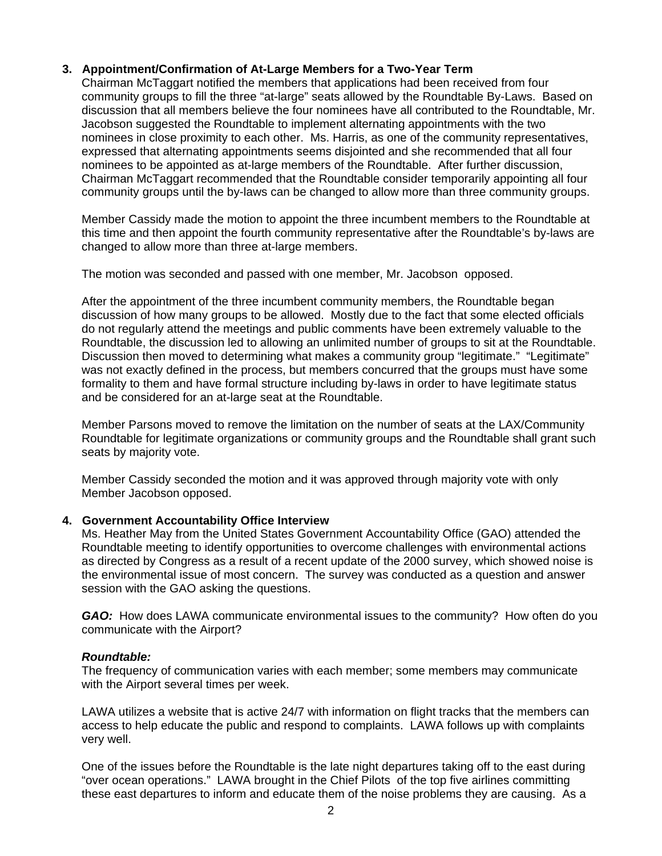## **3. Appointment/Confirmation of At-Large Members for a Two-Year Term**

Chairman McTaggart notified the members that applications had been received from four community groups to fill the three "at-large" seats allowed by the Roundtable By-Laws. Based on discussion that all members believe the four nominees have all contributed to the Roundtable, Mr. Jacobson suggested the Roundtable to implement alternating appointments with the two nominees in close proximity to each other. Ms. Harris, as one of the community representatives, expressed that alternating appointments seems disjointed and she recommended that all four nominees to be appointed as at-large members of the Roundtable. After further discussion, Chairman McTaggart recommended that the Roundtable consider temporarily appointing all four community groups until the by-laws can be changed to allow more than three community groups.

Member Cassidy made the motion to appoint the three incumbent members to the Roundtable at this time and then appoint the fourth community representative after the Roundtable's by-laws are changed to allow more than three at-large members.

The motion was seconded and passed with one member, Mr. Jacobson opposed.

After the appointment of the three incumbent community members, the Roundtable began discussion of how many groups to be allowed. Mostly due to the fact that some elected officials do not regularly attend the meetings and public comments have been extremely valuable to the Roundtable, the discussion led to allowing an unlimited number of groups to sit at the Roundtable. Discussion then moved to determining what makes a community group "legitimate." "Legitimate" was not exactly defined in the process, but members concurred that the groups must have some formality to them and have formal structure including by-laws in order to have legitimate status and be considered for an at-large seat at the Roundtable.

Member Parsons moved to remove the limitation on the number of seats at the LAX/Community Roundtable for legitimate organizations or community groups and the Roundtable shall grant such seats by majority vote.

Member Cassidy seconded the motion and it was approved through majority vote with only Member Jacobson opposed.

## **4. Government Accountability Office Interview**

Ms. Heather May from the United States Government Accountability Office (GAO) attended the Roundtable meeting to identify opportunities to overcome challenges with environmental actions as directed by Congress as a result of a recent update of the 2000 survey, which showed noise is the environmental issue of most concern. The survey was conducted as a question and answer session with the GAO asking the questions.

*GAO:* How does LAWA communicate environmental issues to the community? How often do you communicate with the Airport?

#### *Roundtable:*

The frequency of communication varies with each member; some members may communicate with the Airport several times per week.

LAWA utilizes a website that is active 24/7 with information on flight tracks that the members can access to help educate the public and respond to complaints. LAWA follows up with complaints very well.

One of the issues before the Roundtable is the late night departures taking off to the east during "over ocean operations." LAWA brought in the Chief Pilots of the top five airlines committing these east departures to inform and educate them of the noise problems they are causing. As a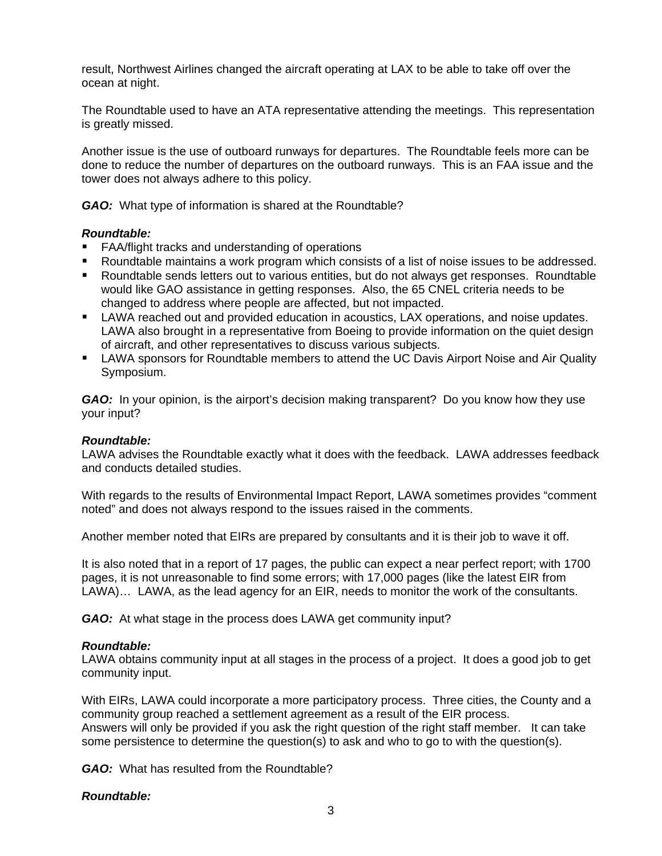result, Northwest Airlines changed the aircraft operating at LAX to be able to take off over the ocean at night.

The Roundtable used to have an ATA representative attending the meetings. This representation is greatly missed.

Another issue is the use of outboard runways for departures. The Roundtable feels more can be done to reduce the number of departures on the outboard runways. This is an FAA issue and the tower does not always adhere to this policy.

*GAO:* What type of information is shared at the Roundtable?

#### *Roundtable:*

- FAA/flight tracks and understanding of operations
- Roundtable maintains a work program which consists of a list of noise issues to be addressed.
- Roundtable sends letters out to various entities, but do not always get responses. Roundtable would like GAO assistance in getting responses. Also, the 65 CNEL criteria needs to be changed to address where people are affected, but not impacted.
- LAWA reached out and provided education in acoustics, LAX operations, and noise updates. LAWA also brought in a representative from Boeing to provide information on the quiet design of aircraft, and other representatives to discuss various subjects.
- LAWA sponsors for Roundtable members to attend the UC Davis Airport Noise and Air Quality Symposium.

**GAO:** In your opinion, is the airport's decision making transparent? Do you know how they use your input?

#### *Roundtable:*

LAWA advises the Roundtable exactly what it does with the feedback. LAWA addresses feedback and conducts detailed studies.

With regards to the results of Environmental Impact Report, LAWA sometimes provides "comment noted" and does not always respond to the issues raised in the comments.

Another member noted that EIRs are prepared by consultants and it is their job to wave it off.

It is also noted that in a report of 17 pages, the public can expect a near perfect report; with 1700 pages, it is not unreasonable to find some errors; with 17,000 pages (like the latest EIR from LAWA)… LAWA, as the lead agency for an EIR, needs to monitor the work of the consultants.

*GAO:* At what stage in the process does LAWA get community input?

#### *Roundtable:*

LAWA obtains community input at all stages in the process of a project. It does a good job to get community input.

With EIRs, LAWA could incorporate a more participatory process. Three cities, the County and a community group reached a settlement agreement as a result of the EIR process. Answers will only be provided if you ask the right question of the right staff member. It can take some persistence to determine the question(s) to ask and who to go to with the question(s).

*GAO:* What has resulted from the Roundtable?

#### *Roundtable:*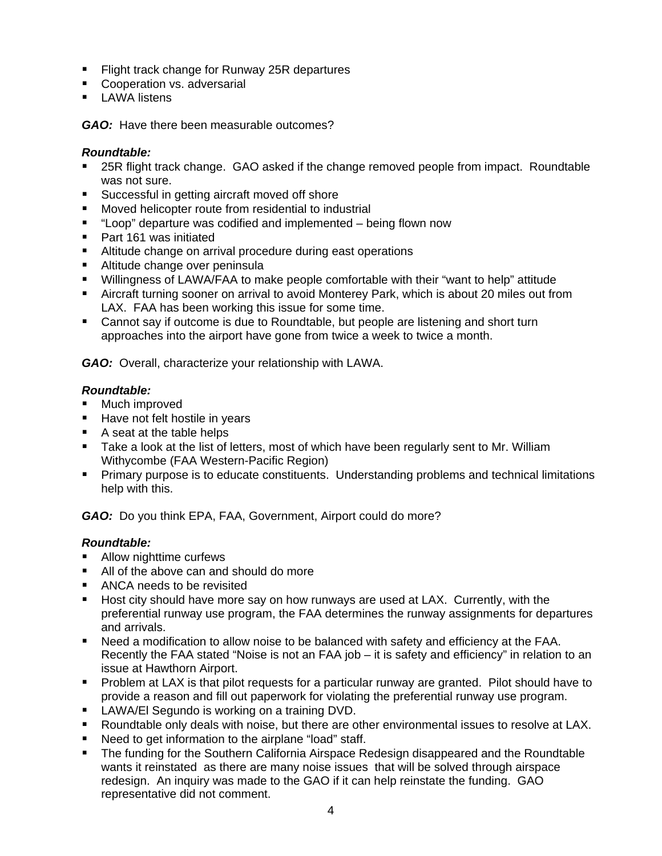- **Flight track change for Runway 25R departures**
- Cooperation vs. adversarial
- $\blacksquare$  LAWA listens

*GAO:* Have there been measurable outcomes?

## *Roundtable:*

- 25R flight track change. GAO asked if the change removed people from impact. Roundtable was not sure.
- **Successful in getting aircraft moved off shore**
- **Moved helicopter route from residential to industrial**
- "Loop" departure was codified and implemented being flown now
- Part 161 was initiated
- Altitude change on arrival procedure during east operations
- Altitude change over peninsula
- Willingness of LAWA/FAA to make people comfortable with their "want to help" attitude
- Aircraft turning sooner on arrival to avoid Monterey Park, which is about 20 miles out from LAX. FAA has been working this issue for some time.
- Cannot say if outcome is due to Roundtable, but people are listening and short turn approaches into the airport have gone from twice a week to twice a month.

*GAO:* Overall, characterize your relationship with LAWA.

## *Roundtable:*

- **Much improved**
- Have not felt hostile in years
- A seat at the table helps
- Take a look at the list of letters, most of which have been regularly sent to Mr. William Withycombe (FAA Western-Pacific Region)
- **Primary purpose is to educate constituents. Understanding problems and technical limitations** help with this.

*GAO:* Do you think EPA, FAA, Government, Airport could do more?

## *Roundtable:*

- Allow nighttime curfews
- All of the above can and should do more
- **ANCA** needs to be revisited
- **Host city should have more say on how runways are used at LAX. Currently, with the** preferential runway use program, the FAA determines the runway assignments for departures and arrivals.
- **Need a modification to allow noise to be balanced with safety and efficiency at the FAA.** Recently the FAA stated "Noise is not an FAA job – it is safety and efficiency" in relation to an issue at Hawthorn Airport.
- Problem at LAX is that pilot requests for a particular runway are granted. Pilot should have to provide a reason and fill out paperwork for violating the preferential runway use program.
- **LAWA/EI Segundo is working on a training DVD.**
- " Roundtable only deals with noise, but there are other environmental issues to resolve at LAX.
- Need to get information to the airplane "load" staff.
- " The funding for the Southern California Airspace Redesign disappeared and the Roundtable redesign. An inquiry was made to the GAO if it can help reinstate the funding. GAO representative did not comment. wants it reinstated as there are many noise issues that will be solved through airspace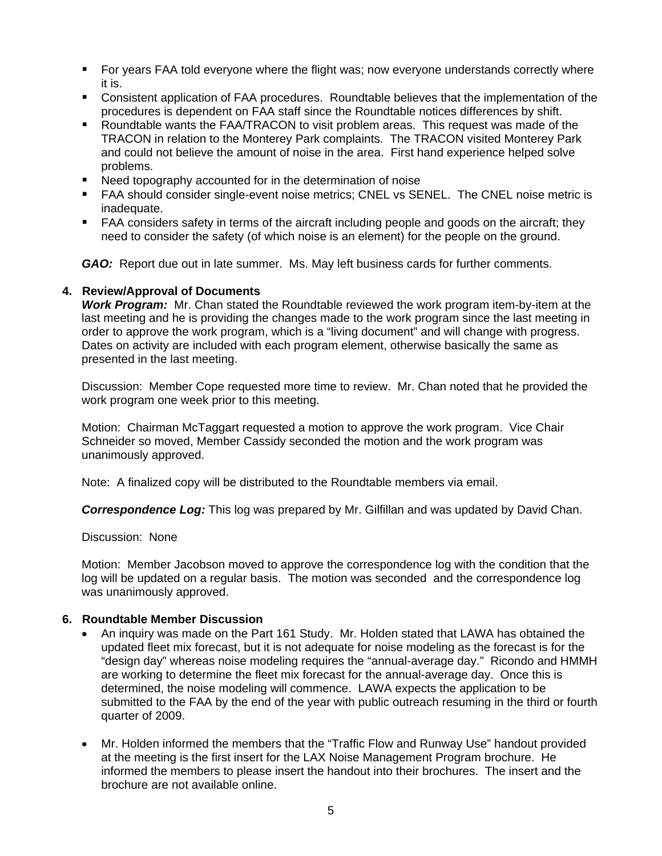- For years FAA told everyone where the flight was; now everyone understands correctly where it is.
- Consistent application of FAA procedures. Roundtable believes that the implementation of the procedures is dependent on FAA staff since the Roundtable notices differences by shift.
- Roundtable wants the FAA/TRACON to visit problem areas. This request was made of the TRACON in relation to the Monterey Park complaints. The TRACON visited Monterey Park and could not believe the amount of noise in the area. First hand experience helped solve problems.
- Need topography accounted for in the determination of noise
- **FAA should consider single-event noise metrics; CNEL vs SENEL. The CNEL noise metric is** inadequate.
- **FAA considers safety in terms of the aircraft including people and goods on the aircraft; they** need to consider the safety (of which noise is an element) for the people on the ground.

*GAO:* Report due out in late summer. Ms. May left business cards for further comments.

#### **4. Review/Approval of Documents**

*Work Program:* Mr. Chan stated the Roundtable reviewed the work program item-by-item at the last meeting and he is providing the changes made to the work program since the last meeting in order to approve the work program, which is a "living document" and will change with progress. Dates on activity are included with each program element, otherwise basically the same as presented in the last meeting.

Discussion: Member Cope requested more time to review. Mr. Chan noted that he provided the work program one week prior to this meeting.

Motion: Chairman McTaggart requested a motion to approve the work program. Vice Chair Schneider so moved, Member Cassidy seconded the motion and the work program was unanimously approved.

Note: A finalized copy will be distributed to the Roundtable members via email.

*Correspondence Log:* This log was prepared by Mr. Gilfillan and was updated by David Chan.

Discussion: None

Motion: Member Jacobson moved to approve the correspondence log with the condition that the log will be updated on a regular basis. The motion was seconded and the correspondence log was unanimously approved.

## **6. Roundtable Member Discussion**

- An inquiry was made on the Part 161 Study. Mr. Holden stated that LAWA has obtained the updated fleet mix forecast, but it is not adequate for noise modeling as the forecast is for the "design day" whereas noise modeling requires the "annual-average day." Ricondo and HMMH are working to determine the fleet mix forecast for the annual-average day. Once this is determined, the noise modeling will commence. LAWA expects the application to be submitted to the FAA by the end of the year with public outreach resuming in the third or fourth quarter of 2009.
- Mr. Holden informed the members that the "Traffic Flow and Runway Use" handout provided at the meeting is the first insert for the LAX Noise Management Program brochure. He informed the members to please insert the handout into their brochures. The insert and the brochure are not available online.